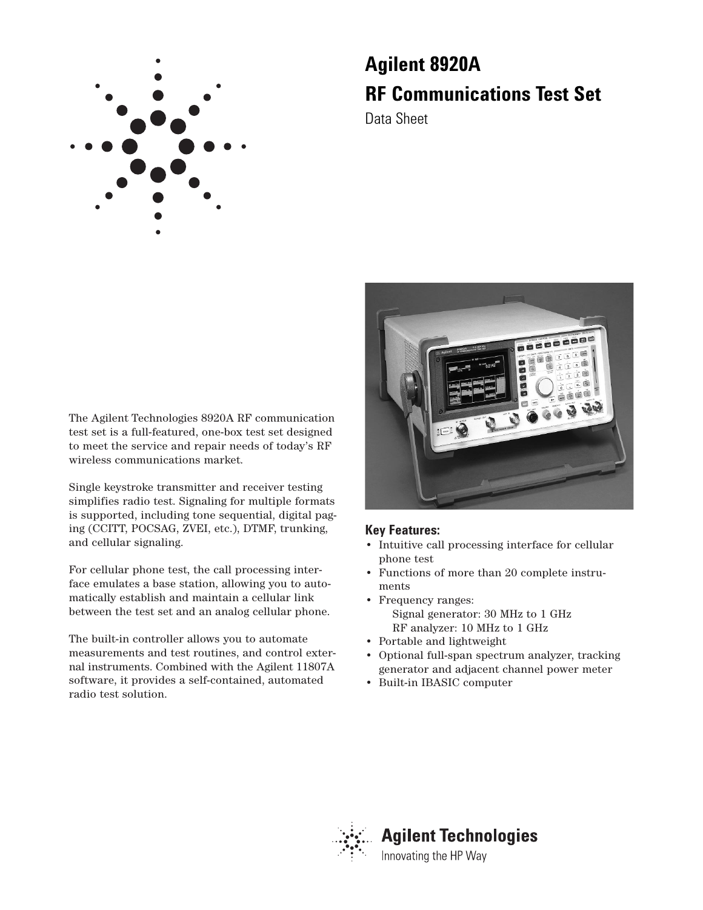

## **Agilent 8920A RF Communications Test Set**

Data Sheet



Single keystroke transmitter and receiver testing simplifies radio test. Signaling for multiple formats is supported, including tone sequential, digital paging (CCITT, POCSAG, ZVEI, etc.), DTMF, trunking, and cellular signaling.

For cellular phone test, the call processing interface emulates a base station, allowing you to automatically establish and maintain a cellular link between the test set and an analog cellular phone.

The built-in controller allows you to automate measurements and test routines, and control external instruments. Combined with the Agilent 11807A software, it provides a self-contained, automated radio test solution.



#### **Key Features:**

- Intuitive call processing interface for cellular phone test
- Functions of more than 20 complete instruments
- Frequency ranges: Signal generator: 30 MHz to 1 GHz RF analyzer: 10 MHz to 1 GHz
- Portable and lightweight
- Optional full-span spectrum analyzer, tracking generator and adjacent channel power meter
- Built-in IBASIC computer

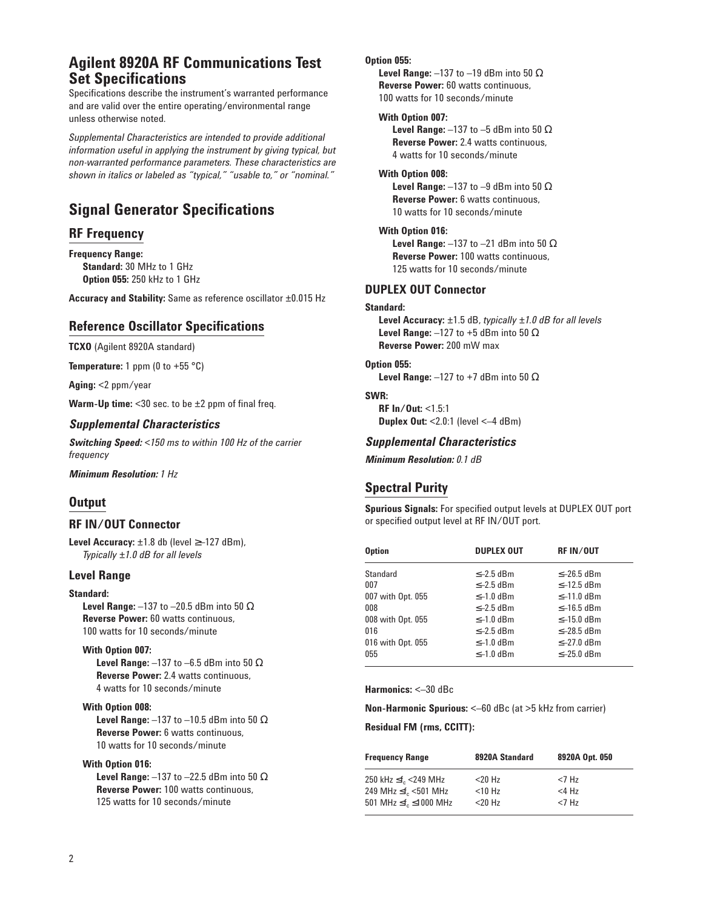## **Agilent 8920A RF Communications Test Set Specifications**

Specifications describe the instrument's warranted performance and are valid over the entire operating/environmental range unless otherwise noted.

*Supplemental Characteristics are intended to provide additional information useful in applying the instrument by giving typical, but non-warranted performance parameters. These characteristics are shown in italics or labeled as "typical," "usable to," or "nominal."*

## **Signal Generator Specifications**

#### **RF Frequency**

**Frequency Range: Standard:** 30 MHz to 1 GHz **Option 055:** 250 kHz to 1 GHz

**Accuracy and Stability:** Same as reference oscillator ±0.015 Hz

#### **Reference Oscillator Specifications**

**TCXO** (Agilent 8920A standard)

**Temperature:** 1 ppm (0 to +55  $^{\circ}$ C)

**Aging:** <2 ppm/year

**Warm-Up time:** <30 sec. to be ±2 ppm of final freq.

#### *Supplemental Characteristics*

*Switching Speed: <150 ms to within 100 Hz of the carrier frequency*

*Minimum Resolution: 1 Hz*

#### **Output**

#### **RF IN/OUT Connector**

**Level Accuracy:** ±1.8 db (level ≥–127 dBm), *Typically ±1.0 dB for all levels*

#### **Level Range**

#### **Standard:**

**Level Range:** –137 to –20.5 dBm into 50 Ω **Reverse Power:** 60 watts continuous, 100 watts for 10 seconds/minute

#### **With Option 007:**

**Level Range:** –137 to –6.5 dBm into 50 Ω **Reverse Power:** 2.4 watts continuous, 4 watts for 10 seconds/minute

#### **With Option 008:**

**Level Range:** –137 to –10.5 dBm into 50 Ω **Reverse Power:** 6 watts continuous, 10 watts for 10 seconds/minute

#### **With Option 016:**

**Level Range:** –137 to –22.5 dBm into 50 Ω **Reverse Power:** 100 watts continuous, 125 watts for 10 seconds/minute

#### **Option 055:**

**Level Range:** –137 to –19 dBm into 50 Ω **Reverse Power:** 60 watts continuous, 100 watts for 10 seconds/minute

#### **With Option 007:**

**Level Range:** –137 to –5 dBm into 50 Ω **Reverse Power:** 2.4 watts continuous, 4 watts for 10 seconds/minute

#### **With Option 008:**

**Level Range:**  $-137$  to  $-9$  dBm into 50  $\Omega$ **Reverse Power:** 6 watts continuous, 10 watts for 10 seconds/minute

#### **With Option 016:**

**Level Range:** –137 to –21 dBm into 50 Ω **Reverse Power:** 100 watts continuous, 125 watts for 10 seconds/minute

#### **DUPLEX OUT Connector**

#### **Standard:**

**Level Accuracy:** ±1.5 dB, *typically ±1.0 dB for all levels* **Level Range:** –127 to +5 dBm into 50 Ω **Reverse Power:** 200 mW max

#### **Option 055:**

**Level Range:** –127 to +7 dBm into 50 Ω

#### **SWR:**

**RF In/Out:** <1.5:1 **Duplex Out:** <2.0:1 (level <–4 dBm)

#### *Supplemental Characteristics*

*Minimum Resolution: 0.1 dB*

#### **Spectral Purity**

**Spurious Signals:** For specified output levels at DUPLEX OUT port or specified output level at RF IN/OUT port.

| <b>Option</b>     | <b>DUPLEX OUT</b> | <b>RF IN/OUT</b> |  |  |  |  |  |
|-------------------|-------------------|------------------|--|--|--|--|--|
| Standard          | $\leq -2.5$ dBm   | $\leq -26.5$ dBm |  |  |  |  |  |
| 007               | $\leq -2.5$ dBm   | $\leq -12.5$ dBm |  |  |  |  |  |
| 007 with Opt. 055 | $\leq -1.0$ dBm   | $\leq -11.0$ dBm |  |  |  |  |  |
| 008               | $\leq -2.5$ dBm   | $\leq -16.5$ dBm |  |  |  |  |  |
| 008 with Opt. 055 | $\leq -1.0$ dBm   | $\leq -15.0$ dBm |  |  |  |  |  |
| 016               | $\leq -2.5$ dBm   | $\leq -28.5$ dBm |  |  |  |  |  |
| 016 with Opt. 055 | $\leq -1.0$ dBm   | $\leq -27.0$ dBm |  |  |  |  |  |
| 055               | $\leq -1.0$ dBm   | $\leq -25.0$ dBm |  |  |  |  |  |

**Harmonics:** <–30 dBc

**Non-Harmonic Spurious:** <–60 dBc (at >5 kHz from carrier)

**Residual FM (rms, CCITT):**

| <b>Frequency Range</b>             | 8920A Standard | 8920A Opt. 050 |  |  |  |  |  |
|------------------------------------|----------------|----------------|--|--|--|--|--|
| 250 kHz $\leq f_c$ <249 MHz        | $<$ 20 Hz      | $<7$ Hz        |  |  |  |  |  |
| 249 MHz $\leq f_c$ <501 MHz        | $<$ 10 Hz      | $<$ 4 $H7$     |  |  |  |  |  |
| 501 MHz $\leq f$ , $\leq$ 1000 MHz | $20 Hz$        | $<7$ Hz        |  |  |  |  |  |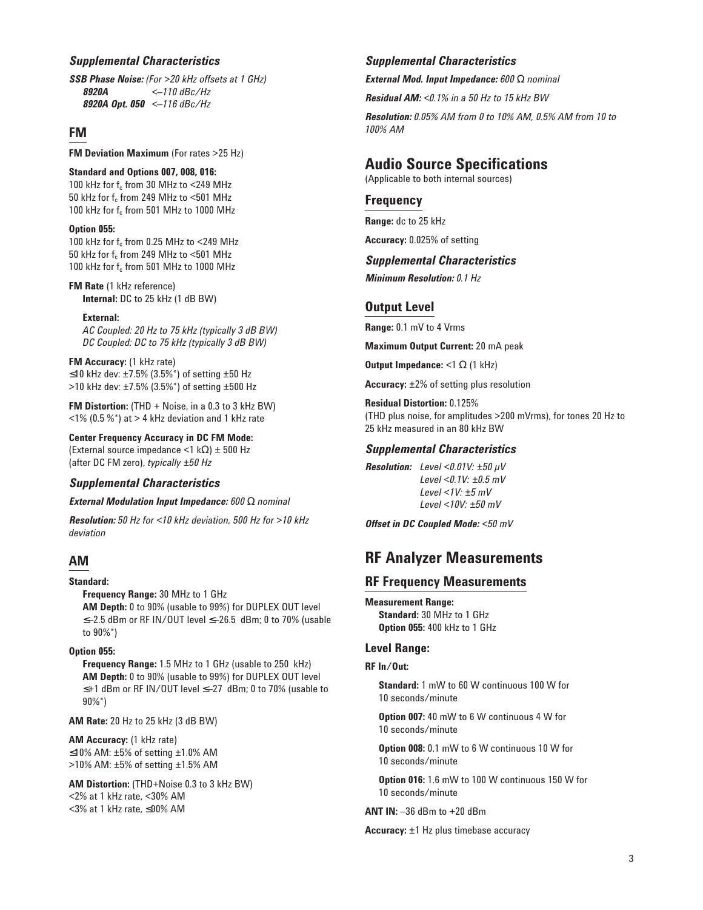#### *Supplemental Characteristics*

*SSB Phase Noise: (For >20 kHz offsets at 1 GHz) 8920A <–110 dBc/Hz 8920A Opt. 050 <–116 dBc/Hz* 

#### **FM**

**FM Deviation Maximum** (For rates >25 Hz)

#### **Standard and Options 007, 008, 016:**

100 kHz for  $f_c$  from 30 MHz to <249 MHz 50 kHz for  $f_c$  from 249 MHz to <501 MHz 100 kHz for  $f_c$  from 501 MHz to 1000 MHz

#### **Option 055:**

100 kHz for  $f_c$  from 0.25 MHz to <249 MHz 50 kHz for  $f_c$  from 249 MHz to <501 MHz 100 kHz for  $f_c$  from 501 MHz to 1000 MHz

#### **FM Rate** (1 kHz reference) **Internal:** DC to 25 kHz (1 dB BW)

**External:**

*AC Coupled: 20 Hz to 75 kHz (typically 3 dB BW) DC Coupled: DC to 75 kHz (typically 3 dB BW)*

#### **FM Accuracy:** (1 kHz rate)

≤10 kHz dev: ±7.5% (3.5%\*) of setting ±50 Hz >10 kHz dev: ±7.5% (3.5%\*) of setting ±500 Hz

**FM Distortion:** (THD + Noise, in a 0.3 to 3 kHz BW)  $\langle 1\%$  (0.5 %\*) at > 4 kHz deviation and 1 kHz rate

**Center Frequency Accuracy in DC FM Mode:** (External source impedance <1 kΩ) ± 500 Hz

(after DC FM zero), *typically ±50 Hz*

#### *Supplemental Characteristics*

#### *External Modulation Input Impedance: 600* Ω *nominal*

*Resolution: 50 Hz for <10 kHz deviation, 500 Hz for >10 kHz deviation*

#### **AM**

#### **Standard:**

**Frequency Range:** 30 MHz to 1 GHz **AM Depth:** 0 to 90% (usable to 99%) for DUPLEX OUT level ≤–2.5 dBm or RF IN/OUT level ≤–26.5 dBm; 0 to 70% (usable to 90%\*)

#### **Option 055:**

**Frequency Range:** 1.5 MHz to 1 GHz (usable to 250 kHz) **AM Depth:** 0 to 90% (usable to 99%) for DUPLEX OUT level ≤+1 dBm or RF IN/OUT level ≤–27 dBm; 0 to 70% (usable to 90%\*)

**AM Rate:** 20 Hz to 25 kHz (3 dB BW)

**AM Accuracy:** (1 kHz rate) ≤10% AM: ±5% of setting ±1.0% AM >10% AM: ±5% of setting ±1.5% AM

**AM Distortion:** (THD+Noise 0.3 to 3 kHz BW) <2% at 1 kHz rate, <30% AM <3% at 1 kHz rate, ≤90% AM

#### *Supplemental Characteristics*

*External Mod. Input Impedance: 600* Ω *nominal*

*Residual AM: <0.1% in a 50 Hz to 15 kHz BW*

*Resolution: 0.05% AM from 0 to 10% AM, 0.5% AM from 10 to 100% AM* 

## **Audio Source Specifications**

(Applicable to both internal sources)

#### **Frequency**

**Range:** dc to 25 kHz

**Accuracy:** 0.025% of setting

#### *Supplemental Characteristics*

*Minimum Resolution: 0.1 Hz*

### **Output Level**

**Range:** 0.1 mV to 4 Vrms

**Maximum Output Current:** 20 mA peak

**Output Impedance:** <1 Ω (1 kHz)

**Accuracy:** ±2% of setting plus resolution

**Residual Distortion:** 0.125% (THD plus noise, for amplitudes >200 mVrms), for tones 20 Hz to 25 kHz measured in an 80 kHz BW

#### *Supplemental Characteristics*

*Resolution: Level <0.01V: ±50 µV Level <0.1V: ±0.5 mV Level <1V: ±5 mV Level <10V: ±50 mV* 

*Offset in DC Coupled Mode: <50 mV*

## **RF Analyzer Measurements**

#### **RF Frequency Measurements**

**Measurement Range: Standard:** 30 MHz to 1 GHz **Option 055:** 400 kHz to 1 GHz

#### **Level Range:**

#### **RF In/Out:**

**Standard:** 1 mW to 60 W continuous 100 W for 10 seconds/minute

**Option 007:** 40 mW to 6 W continuous 4 W for 10 seconds/minute

**Option 008:** 0.1 mW to 6 W continuous 10 W for 10 seconds/minute

**Option 016:** 1.6 mW to 100 W continuous 150 W for 10 seconds/minute

**ANT IN:** –36 dBm to +20 dBm

**Accuracy:** ±1 Hz plus timebase accuracy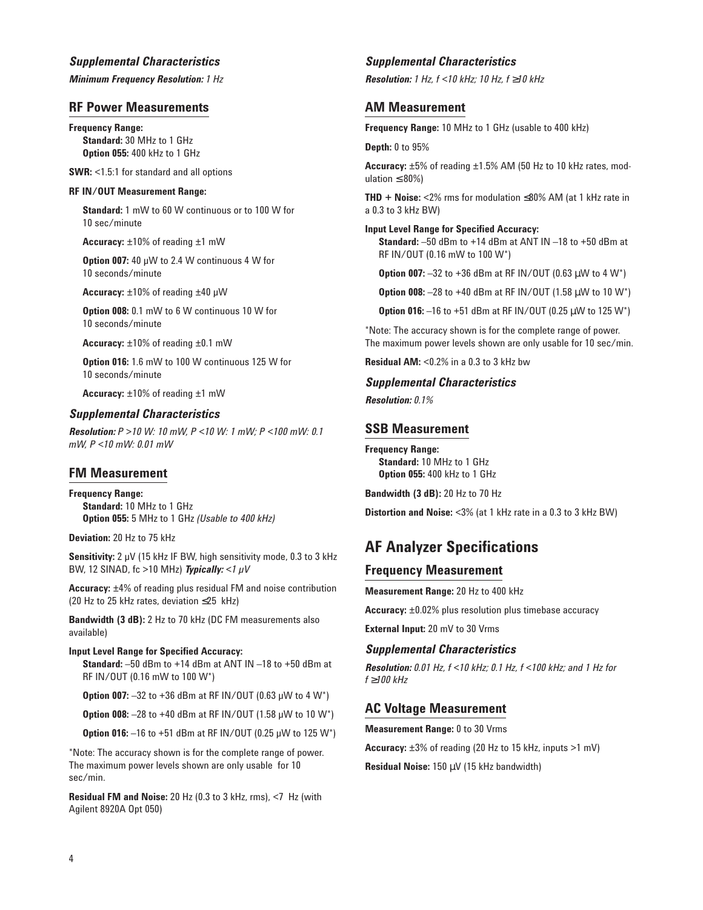#### *Supplemental Characteristics*

*Minimum Frequency Resolution: 1 Hz* 

#### **RF Power Measurements**

**Frequency Range: Standard:** 30 MHz to 1 GHz **Option 055:** 400 kHz to 1 GHz

**SWR:** <1.5:1 for standard and all options

#### **RF IN/OUT Measurement Range:**

**Standard:** 1 mW to 60 W continuous or to 100 W for 10 sec/minute

**Accuracy:** ±10% of reading ±1 mW

**Option 007:** 40 µW to 2.4 W continuous 4 W for 10 seconds/minute

**Accuracy:** ±10% of reading ±40 µW

**Option 008:** 0.1 mW to 6 W continuous 10 W for 10 seconds/minute

**Accuracy:** ±10% of reading ±0.1 mW

**Option 016:** 1.6 mW to 100 W continuous 125 W for 10 seconds/minute

**Accuracy:** ±10% of reading ±1 mW

#### *Supplemental Characteristics*

*Resolution: P >10 W: 10 mW, P <10 W: 1 mW; P <100 mW: 0.1 mW, P <10 mW: 0.01 mW*

#### **FM Measurement**

**Frequency Range: Standard:** 10 MHz to 1 GHz **Option 055:** 5 MHz to 1 GHz *(Usable to 400 kHz)*

**Deviation:** 20 Hz to 75 kHz

**Sensitivity:** 2 µV (15 kHz IF BW, high sensitivity mode, 0.3 to 3 kHz BW, 12 SINAD, fc >10 MHz) *Typically: <1 µV*

**Accuracy:** ±4% of reading plus residual FM and noise contribution (20 Hz to 25 kHz rates, deviation ≤25 kHz)

**Bandwidth (3 dB):** 2 Hz to 70 kHz (DC FM measurements also available)

#### **Input Level Range for Specified Accuracy: Standard:** –50 dBm to +14 dBm at ANT IN –18 to +50 dBm at RF IN/OUT (0.16 mW to 100 W\*)

**Option 007:** -32 to +36 dBm at RF IN/OUT (0.63 µW to 4 W<sup>\*</sup>)

**Option 008:** –28 to +40 dBm at RF IN/OUT (1.58 µW to 10 W\*)

**Option 016:**  $-16$  to  $+51$  dBm at RF IN/OUT (0.25 µW to 125 W<sup>\*</sup>)

\*Note: The accuracy shown is for the complete range of power. The maximum power levels shown are only usable for 10 sec/min.

**Residual FM and Noise:** 20 Hz (0.3 to 3 kHz, rms), <7 Hz (with Agilent 8920A Opt 050)

#### *Supplemental Characteristics*

*Resolution: 1 Hz, f <10 kHz; 10 Hz, f* ≥*10 kHz*

#### **AM Measurement**

**Frequency Range:** 10 MHz to 1 GHz (usable to 400 kHz)

**Depth:** 0 to 95%

**Accuracy:** ±5% of reading ±1.5% AM (50 Hz to 10 kHz rates, modulation  $\leq 80\%$ )

**THD + Noise:** <2% rms for modulation ≤80% AM (at 1 kHz rate in a 0.3 to 3 kHz BW)

#### **Input Level Range for Specified Accuracy:**

**Standard:** –50 dBm to +14 dBm at ANT IN –18 to +50 dBm at RF IN/OUT (0.16 mW to 100 W\*)

**Option 007:** –32 to +36 dBm at RF IN/OUT (0.63 µW to 4 W\*)

**Option 008:** -28 to +40 dBm at RF IN/OUT (1.58  $\mu$ W to 10 W<sup>\*</sup>)

**Option 016:** -16 to +51 dBm at RF IN/OUT (0.25  $\mu$ W to 125 W<sup>\*</sup>)

\*Note: The accuracy shown is for the complete range of power. The maximum power levels shown are only usable for 10 sec/min.

**Residual AM:** <0.2% in a 0.3 to 3 kHz bw

#### *Supplemental Characteristics*

*Resolution: 0.1%*

#### **SSB Measurement**

**Frequency Range: Standard:** 10 MHz to 1 GHz **Option 055:** 400 kHz to 1 GHz

**Bandwidth (3 dB):** 20 Hz to 70 Hz

**Distortion and Noise:** <3% (at 1 kHz rate in a 0.3 to 3 kHz BW)

## **AF Analyzer Specifications**

#### **Frequency Measurement**

**Measurement Range:** 20 Hz to 400 kHz

**Accuracy:** ±0.02% plus resolution plus timebase accuracy

**External Input:** 20 mV to 30 Vrms

#### *Supplemental Characteristics*

*Resolution: 0.01 Hz, f <10 kHz; 0.1 Hz, f <100 kHz; and 1 Hz for f* ≥*100 kHz* 

#### **AC Voltage Measurement**

**Measurement Range:** 0 to 30 Vrms

**Accuracy:** ±3% of reading (20 Hz to 15 kHz, inputs >1 mV)

**Residual Noise:** 150 µV (15 kHz bandwidth)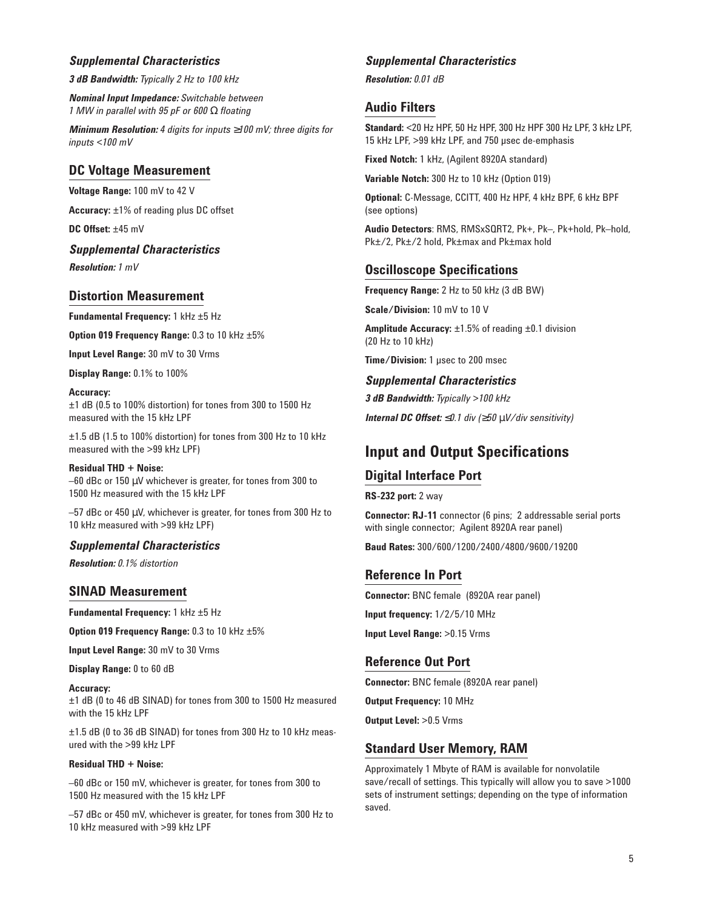#### *Supplemental Characteristics*

*3 dB Bandwidth: Typically 2 Hz to 100 kHz*

*Nominal Input Impedance: Switchable between 1 MW in parallel with 95 pF or 600* Ω *floating*

*Minimum Resolution: 4 digits for inputs* ≥*100 mV; three digits for inputs <100 mV*

#### **DC Voltage Measurement**

**Voltage Range:** 100 mV to 42 V

**Accuracy:** ±1% of reading plus DC offset

**DC Offset:** ±45 mV

*Supplemental Characteristics*

*Resolution: 1 mV*

#### **Distortion Measurement**

**Fundamental Frequency:** 1 kHz ±5 Hz

**Option 019 Frequency Range:** 0.3 to 10 kHz ±5%

**Input Level Range:** 30 mV to 30 Vrms

**Display Range:** 0.1% to 100%

**Accuracy:** ±1 dB (0.5 to 100% distortion) for tones from 300 to 1500 Hz measured with the 15 kHz LPF

±1.5 dB (1.5 to 100% distortion) for tones from 300 Hz to 10 kHz measured with the >99 kHz LPF)

**Residual THD + Noise:** –60 dBc or 150 µV whichever is greater, for tones from 300 to 1500 Hz measured with the 15 kHz LPF

–57 dBc or 450 µV, whichever is greater, for tones from 300 Hz to 10 kHz measured with >99 kHz LPF)

#### *Supplemental Characteristics*

*Resolution: 0.1% distortion*

#### **SINAD Measurement**

**Fundamental Frequency:** 1 kHz ±5 Hz

**Option 019 Frequency Range:** 0.3 to 10 kHz ±5%

**Input Level Range:** 30 mV to 30 Vrms

**Display Range:** 0 to 60 dB

**Accuracy:**

±1 dB (0 to 46 dB SINAD) for tones from 300 to 1500 Hz measured with the 15 kHz LPF

±1.5 dB (0 to 36 dB SINAD) for tones from 300 Hz to 10 kHz measured with the >99 kHz LPF

#### **Residual THD + Noise:**

–60 dBc or 150 mV, whichever is greater, for tones from 300 to 1500 Hz measured with the 15 kHz LPF

–57 dBc or 450 mV, whichever is greater, for tones from 300 Hz to 10 kHz measured with >99 kHz LPF

#### *Supplemental Characteristics*

*Resolution: 0.01 dB* 

#### **Audio Filters**

**Standard:** <20 Hz HPF, 50 Hz HPF, 300 Hz HPF 300 Hz LPF, 3 kHz LPF, 15 kHz LPF, >99 kHz LPF, and 750 µsec de-emphasis

**Fixed Notch:** 1 kHz, (Agilent 8920A standard)

**Variable Notch:** 300 Hz to 10 kHz (Option 019)

**Optional:** C-Message, CCITT, 400 Hz HPF, 4 kHz BPF, 6 kHz BPF (see options)

**Audio Detectors**: RMS, RMSxSQRT2, Pk+, Pk–, Pk+hold, Pk–hold, Pk±/2, Pk±/2 hold, Pk±max and Pk±max hold

#### **Oscilloscope Specifications**

**Frequency Range:** 2 Hz to 50 kHz (3 dB BW)

**Scale/Division:** 10 mV to 10 V

**Amplitude Accuracy:** ±1.5% of reading ±0.1 division (20 Hz to 10 kHz)

**Time/Division:** 1 µsec to 200 msec

#### *Supplemental Characteristics*

*3 dB Bandwidth: Typically >100 kHz*

*Internal DC Offset:* ≤*0.1 div (*≥*50* µ*V/div sensitivity)*

## **Input and Output Specifications**

#### **Digital Interface Port**

**RS-232 port:** 2 way

**Connector: RJ-11** connector (6 pins; 2 addressable serial ports with single connector; Agilent 8920A rear panel)

**Baud Rates:** 300/600/1200/2400/4800/9600/19200

#### **Reference In Port**

**Connector:** BNC female (8920A rear panel) **Input frequency:** 1/2/5/10 MHz **Input Level Range:** >0.15 Vrms

#### **Reference Out Port**

**Connector:** BNC female (8920A rear panel)

**Output Frequency:** 10 MHz

**Output Level:** >0.5 Vrms

#### **Standard User Memory, RAM**

Approximately 1 Mbyte of RAM is available for nonvolatile save/recall of settings. This typically will allow you to save >1000 sets of instrument settings; depending on the type of information saved.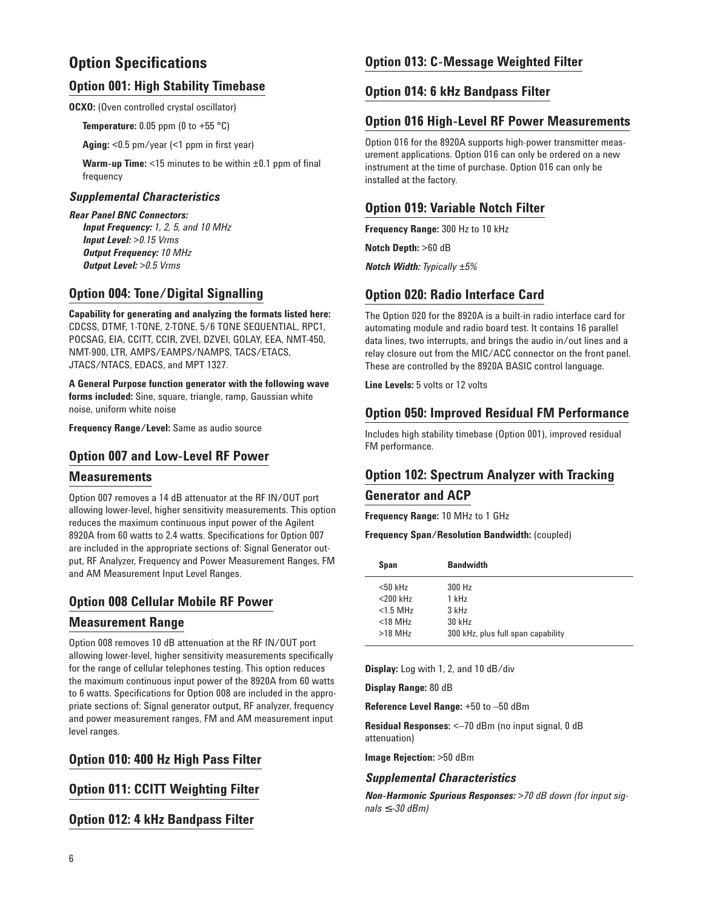## **Option Specifications**

#### **Option 001: High Stability Timebase**

**OCXO:** (Oven controlled crystal oscillator)

**Temperature:** 0.05 ppm (0 to +55 °C)

**Aging:** <0.5 pm/year (<1 ppm in first year)

**Warm-up Time:** <15 minutes to be within ±0.1 ppm of final frequency

#### *Supplemental Characteristics*

*Rear Panel BNC Connectors: Input Frequency: 1, 2, 5, and 10 MHz Input Level: >0.15 Vrms Output Frequency: 10 MHz Output Level: >0.5 Vrms*

#### **Option 004: Tone/Digital Signalling**

**Capability for generating and analyzing the formats listed here:** CDCSS, DTMF, 1-TONE, 2-TONE, 5/6 TONE SEQUENTIAL, RPC1, POCSAG, EIA, CCITT, CCIR, ZVEI, DZVEI, GOLAY, EEA, NMT-450, NMT-900, LTR, AMPS/EAMPS/NAMPS, TACS/ETACS, JTACS/NTACS, EDACS, and MPT 1327.

**A General Purpose function generator with the following wave forms included:** Sine, square, triangle, ramp, Gaussian white noise, uniform white noise

**Frequency Range/Level:** Same as audio source

#### **Option 007 and Low-Level RF Power**

#### **Measurements**

Option 007 removes a 14 dB attenuator at the RF IN/OUT port allowing lower-level, higher sensitivity measurements. This option reduces the maximum continuous input power of the Agilent 8920A from 60 watts to 2.4 watts. Specifications for Option 007 are included in the appropriate sections of: Signal Generator output, RF Analyzer, Frequency and Power Measurement Ranges, FM and AM Measurement Input Level Ranges.

#### **Option 008 Cellular Mobile RF Power**

#### **Measurement Range**

Option 008 removes 10 dB attenuation at the RF IN/OUT port allowing lower-level, higher sensitivity measurements specifically for the range of cellular telephones testing. This option reduces the maximum continuous input power of the 8920A from 60 watts to 6 watts. Specifications for Option 008 are included in the appropriate sections of: Signal generator output, RF analyzer, frequency and power measurement ranges, FM and AM measurement input level ranges.

#### **Option 010: 400 Hz High Pass Filter**

**Option 011: CCITT Weighting Filter**

**Option 012: 4 kHz Bandpass Filter**

#### **Option 013: C-Message Weighted Filter**

#### **Option 014: 6 kHz Bandpass Filter**

#### **Option 016 High-Level RF Power Measurements**

Option 016 for the 8920A supports high-power transmitter measurement applications. Option 016 can only be ordered on a new instrument at the time of purchase. Option 016 can only be installed at the factory.

#### **Option 019: Variable Notch Filter**

**Frequency Range:** 300 Hz to 10 kHz

**Notch Depth:** >60 dB

*Notch Width: Typically ±5%*

#### **Option 020: Radio Interface Card**

The Option 020 for the 8920A is a built-in radio interface card for automating module and radio board test. It contains 16 parallel data lines, two interrupts, and brings the audio in/out lines and a relay closure out from the MIC/ACC connector on the front panel. These are controlled by the 8920A BASIC control language.

**Line Levels:** 5 volts or 12 volts

#### **Option 050: Improved Residual FM Performance**

Includes high stability timebase (Option 001), improved residual FM performance.

#### **Option 102: Spectrum Analyzer with Tracking**

#### **Generator and ACP**

**Frequency Range:** 10 MHz to 1 GHz

**Frequency Span/Resolution Bandwidth:** (coupled)

| <b>Bandwidth</b><br>Span |                                    |
|--------------------------|------------------------------------|
| $<$ 50 kHz               | 300 Hz                             |
| $<$ 200 kHz              | 1 kHz                              |
| $<$ 1.5 MHz              | $3$ kHz                            |
| $<$ 18 MHz               | 30 kHz                             |
| $>18$ MHz                | 300 kHz, plus full span capability |

**Display:** Log with 1, 2, and 10 dB/div

**Display Range:** 80 dB

**Reference Level Range:** +50 to –50 dBm

**Residual Responses:** <–70 dBm (no input signal, 0 dB attenuation)

**Image Rejection:** >50 dBm

#### *Supplemental Characteristics*

*Non-Harmonic Spurious Responses: >70 dB down (for input signals* ≤*–30 dBm)*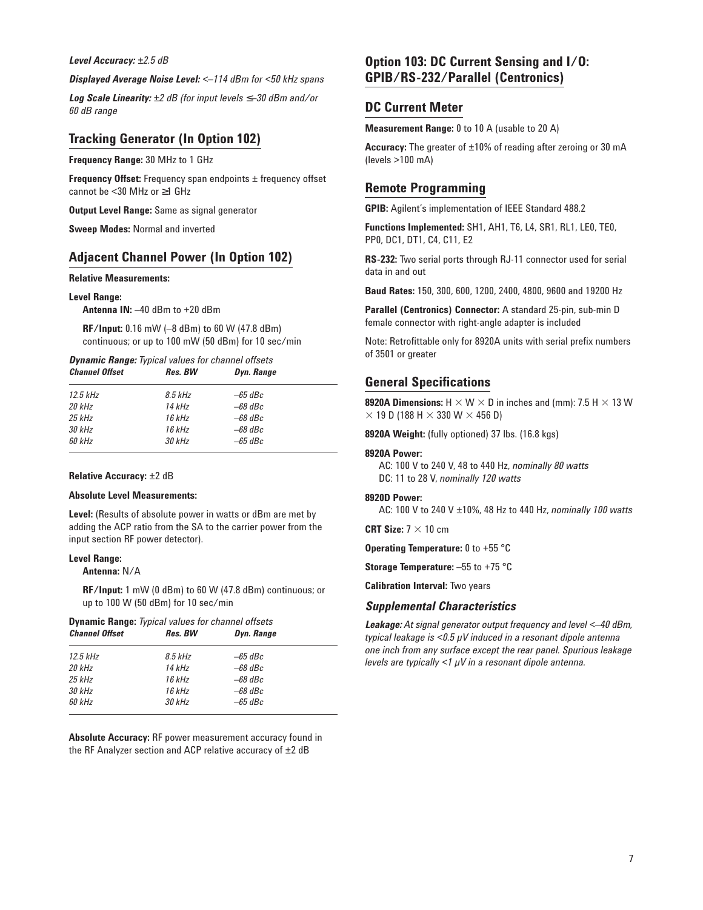#### *Level Accuracy: ±2.5 dB*

*Displayed Average Noise Level: <–114 dBm for <50 kHz spans*

*Log Scale Linearity: ±2 dB (for input levels* ≤*–30 dBm and/or 60 dB range*

#### **Tracking Generator (In Option 102)**

**Frequency Range:** 30 MHz to 1 GHz

**Frequency Offset:** Frequency span endpoints  $\pm$  frequency offset cannot be <30 MHz or ≥1 GHz

**Output Level Range:** Same as signal generator

**Sweep Modes:** Normal and inverted

#### **Adjacent Channel Power (In Option 102)**

#### **Relative Measurements:**

#### **Level Range:**

**Antenna IN:** –40 dBm to +20 dBm

**RF/Input:** 0.16 mW (–8 dBm) to 60 W (47.8 dBm) continuous; or up to 100 mW (50 dBm) for 10 sec/min

*Dynamic Range: Typical values for channel offsets*  $$ 

| 12.5 kHz | 8.5 kHz  | $-65$ dBc |  |
|----------|----------|-----------|--|
| 20 kHz   | 14 kHz   | $-68$ dBc |  |
| 25 kHz   | 16 kHz   | $-68$ dBc |  |
| 30 kHz   | 16 kHz   | $-68$ dBc |  |
| 60 kHz   | $30$ kHz | $-65$ dBc |  |
|          |          |           |  |

#### **Relative Accuracy:** ±2 dB

#### **Absolute Level Measurements:**

**Level:** (Results of absolute power in watts or dBm are met by adding the ACP ratio from the SA to the carrier power from the input section RF power detector).

#### **Level Range:**

**Antenna:** N/A

**RF/Input:** 1 mW (0 dBm) to 60 W (47.8 dBm) continuous; or up to 100 W (50 dBm) for 10 sec/min

| <b>Channel Offset</b> | Res. BW   | Dyn. Range |  |
|-----------------------|-----------|------------|--|
| $12.5$ kHz            | $8.5$ kHz | $-65$ dBc  |  |
| $20$ kHz              | 14 kHz    | $-68$ dBc  |  |
| $25$ kHz              | $16$ kHz  | $-68$ dBc  |  |
| $30$ kHz              | $16$ kHz  | $-68$ dBc  |  |
| 60 kHz                | $30$ kHz  | $-65$ dBc  |  |

**Absolute Accuracy:** RF power measurement accuracy found in the RF Analyzer section and ACP relative accuracy of ±2 dB

#### **Option 103: DC Current Sensing and I/O: GPIB/RS-232/Parallel (Centronics)**

#### **DC Current Meter**

**Measurement Range:** 0 to 10 A (usable to 20 A)

**Accuracy:** The greater of ±10% of reading after zeroing or 30 mA (levels >100 mA)

#### **Remote Programming**

**GPIB:** Agilent's implementation of IEEE Standard 488.2

**Functions Implemented:** SH1, AH1, T6, L4, SR1, RL1, LE0, TE0, PP0, DC1, DT1, C4, C11, E2

**RS-232:** Two serial ports through RJ-11 connector used for serial data in and out

**Baud Rates:** 150, 300, 600, 1200, 2400, 4800, 9600 and 19200 Hz

Parallel (Centronics) Connector: A standard 25-pin, sub-min D female connector with right-angle adapter is included

Note: Retrofittable only for 8920A units with serial prefix numbers of 3501 or greater

#### **General Specifications**

**8920A Dimensions:**  $H \times W \times D$  in inches and (mm): 7.5 H  $\times$  13 W  $\times$  19 D (188 H  $\times$  330 W  $\times$  456 D)

**8920A Weight:** (fully optioned) 37 lbs. (16.8 kgs)

#### **8920A Power:**

AC: 100 V to 240 V, 48 to 440 Hz, *nominally 80 watts* DC: 11 to 28 V, *nominally 120 watts*

#### **8920D Power:**

AC: 100 V to 240 V ±10%, 48 Hz to 440 Hz, *nominally 100 watts*

**CRT Size:**  $7 \times 10$  cm

**Operating Temperature:** 0 to +55 °C

**Storage Temperature:** –55 to +75 °C

**Calibration Interval:** Two years

#### *Supplemental Characteristics*

*Leakage: At signal generator output frequency and level <–40 dBm, typical leakage is <0.5 µV induced in a resonant dipole antenna one inch from any surface except the rear panel. Spurious leakage levels are typically <1 µV in a resonant dipole antenna.*